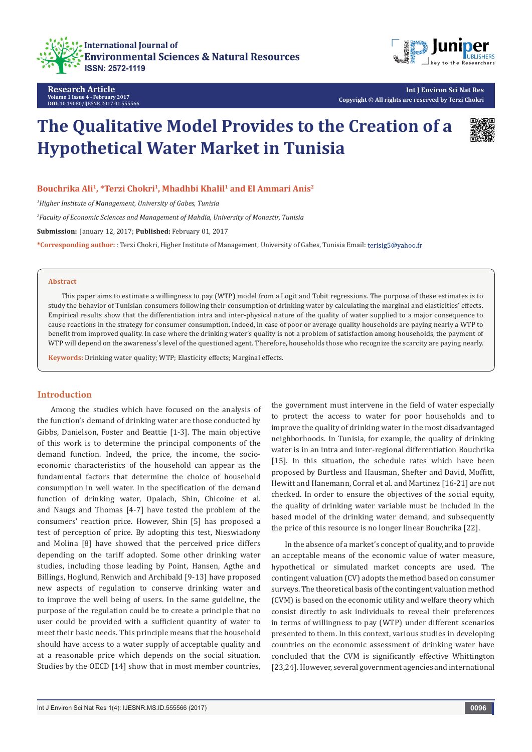



**Research Article Volume 1 Issue 4 - February 2017 DOI:** [10.19080/IJESNR.2017.01.555566](http://dx.doi.org/10.19080/IJESNR.2017.01.555566
)

# **The Qualitative Model Provides to the Creation of a Hypothetical Water Market in Tunisia**



**Bouchrika Ali1, \*Terzi Chokri1, Mhadhbi Khalil1 and El Ammari Anis2**

*1 Higher Institute of Management, University of Gabes, Tunisia*

*2 Faculty of Economic Sciences and Management of Mahdia, University of Monastir, Tunisia*

**Submission:** January 12, 2017; **Published:** February 01, 2017

**\*Corresponding author:** : Terzi Chokri, Higher Institute of Management, University of Gabes, Tunisia Email:

#### **Abstract**

This paper aims to estimate a willingness to pay (WTP) model from a Logit and Tobit regressions. The purpose of these estimates is to study the behavior of Tunisian consumers following their consumption of drinking water by calculating the marginal and elasticities' effects. Empirical results show that the differentiation intra and inter-physical nature of the quality of water supplied to a major consequence to cause reactions in the strategy for consumer consumption. Indeed, in case of poor or average quality households are paying nearly a WTP to benefit from improved quality. In case where the drinking water's quality is not a problem of satisfaction among households, the payment of WTP will depend on the awareness's level of the questioned agent. Therefore, households those who recognize the scarcity are paying nearly.

**Keywords:** Drinking water quality; WTP; Elasticity effects; Marginal effects.

#### **Introduction**

Among the studies which have focused on the analysis of the function's demand of drinking water are those conducted by Gibbs, Danielson, Foster and Beattie [1-3]. The main objective of this work is to determine the principal components of the demand function. Indeed, the price, the income, the socioeconomic characteristics of the household can appear as the fundamental factors that determine the choice of household consumption in well water. In the specification of the demand function of drinking water, Opalach, Shin, Chicoine et al. and Naugs and Thomas [4-7] have tested the problem of the consumers' reaction price. However, Shin [5] has proposed a test of perception of price. By adopting this test, Nieswiadony and Molina [8] have showed that the perceived price differs depending on the tariff adopted. Some other drinking water studies, including those leading by Point, Hansen, Agthe and Billings, Hoglund, Renwich and Archibald [9-13] have proposed new aspects of regulation to conserve drinking water and to improve the well being of users. In the same guideline, the purpose of the regulation could be to create a principle that no user could be provided with a sufficient quantity of water to meet their basic needs. This principle means that the household should have access to a water supply of acceptable quality and at a reasonable price which depends on the social situation. Studies by the OECD [14] show that in most member countries, the government must intervene in the field of water especially to protect the access to water for poor households and to improve the quality of drinking water in the most disadvantaged neighborhoods. In Tunisia, for example, the quality of drinking water is in an intra and inter-regional differentiation Bouchrika [15]. In this situation, the schedule rates which have been proposed by Burtless and Hausman, Shefter and David, Moffitt, Hewitt and Hanemann, Corral et al. and Martinez [16-21] are not checked. In order to ensure the objectives of the social equity, the quality of drinking water variable must be included in the based model of the drinking water demand, and subsequently the price of this resource is no longer linear Bouchrika [22].

In the absence of a market's concept of quality, and to provide an acceptable means of the economic value of water measure, hypothetical or simulated market concepts are used. The contingent valuation (CV) adopts the method based on consumer surveys. The theoretical basis of the contingent valuation method (CVM) is based on the economic utility and welfare theory which consist directly to ask individuals to reveal their preferences in terms of willingness to pay (WTP) under different scenarios presented to them. In this context, various studies in developing countries on the economic assessment of drinking water have concluded that the CVM is significantly effective Whittington [23,24]. However, several government agencies and international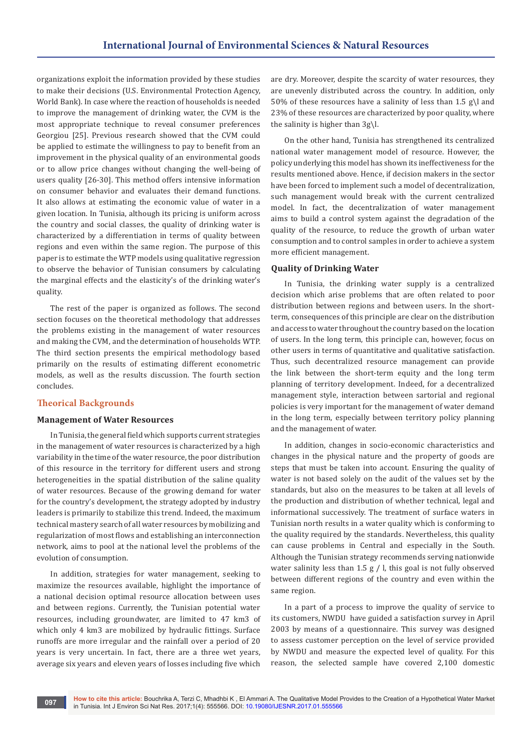organizations exploit the information provided by these studies to make their decisions (U.S. Environmental Protection Agency, World Bank). In case where the reaction of households is needed to improve the management of drinking water, the CVM is the most appropriate technique to reveal consumer preferences Georgiou [25]. Previous research showed that the CVM could be applied to estimate the willingness to pay to benefit from an improvement in the physical quality of an environmental goods or to allow price changes without changing the well-being of users quality [26-30]. This method offers intensive information on consumer behavior and evaluates their demand functions. It also allows at estimating the economic value of water in a given location. In Tunisia, although its pricing is uniform across the country and social classes, the quality of drinking water is characterized by a differentiation in terms of quality between regions and even within the same region. The purpose of this paper is to estimate the WTP models using qualitative regression to observe the behavior of Tunisian consumers by calculating the marginal effects and the elasticity's of the drinking water's quality.

The rest of the paper is organized as follows. The second section focuses on the theoretical methodology that addresses the problems existing in the management of water resources and making the CVM, and the determination of households WTP. The third section presents the empirical methodology based primarily on the results of estimating different econometric models, as well as the results discussion. The fourth section concludes.

# **Theorical Backgrounds**

#### **Management of Water Resources**

In Tunisia, the general field which supports current strategies in the management of water resources is characterized by a high variability in the time of the water resource, the poor distribution of this resource in the territory for different users and strong heterogeneities in the spatial distribution of the saline quality of water resources. Because of the growing demand for water for the country's development, the strategy adopted by industry leaders is primarily to stabilize this trend. Indeed, the maximum technical mastery search of all water resources by mobilizing and regularization of most flows and establishing an interconnection network, aims to pool at the national level the problems of the evolution of consumption.

In addition, strategies for water management, seeking to maximize the resources available, highlight the importance of a national decision optimal resource allocation between uses and between regions. Currently, the Tunisian potential water resources, including groundwater, are limited to 47 km3 of which only 4 km3 are mobilized by hydraulic fittings. Surface runoffs are more irregular and the rainfall over a period of 20 years is very uncertain. In fact, there are a three wet years, average six years and eleven years of losses including five which

are dry. Moreover, despite the scarcity of water resources, they are unevenly distributed across the country. In addition, only 50% of these resources have a salinity of less than 1.5 g\l and 23% of these resources are characterized by poor quality, where the salinity is higher than 3g\l.

On the other hand, Tunisia has strengthened its centralized national water management model of resource. However, the policy underlying this model has shown its ineffectiveness for the results mentioned above. Hence, if decision makers in the sector have been forced to implement such a model of decentralization, such management would break with the current centralized model. In fact, the decentralization of water management aims to build a control system against the degradation of the quality of the resource, to reduce the growth of urban water consumption and to control samples in order to achieve a system more efficient management.

## **Quality of Drinking Water**

In Tunisia, the drinking water supply is a centralized decision which arise problems that are often related to poor distribution between regions and between users. In the shortterm, consequences of this principle are clear on the distribution and access to water throughout the country based on the location of users. In the long term, this principle can, however, focus on other users in terms of quantitative and qualitative satisfaction. Thus, such decentralized resource management can provide the link between the short-term equity and the long term planning of territory development. Indeed, for a decentralized management style, interaction between sartorial and regional policies is very important for the management of water demand in the long term, especially between territory policy planning and the management of water.

In addition, changes in socio-economic characteristics and changes in the physical nature and the property of goods are steps that must be taken into account. Ensuring the quality of water is not based solely on the audit of the values set by the standards, but also on the measures to be taken at all levels of the production and distribution of whether technical, legal and informational successively. The treatment of surface waters in Tunisian north results in a water quality which is conforming to the quality required by the standards. Nevertheless, this quality can cause problems in Central and especially in the South. Although the Tunisian strategy recommends serving nationwide water salinity less than 1.5  $g / l$ , this goal is not fully observed between different regions of the country and even within the same region.

In a part of a process to improve the quality of service to its customers, NWDU have guided a satisfaction survey in April 2003 by means of a questionnaire. This survey was designed to assess customer perception on the level of service provided by NWDU and measure the expected level of quality. For this reason, the selected sample have covered 2,100 domestic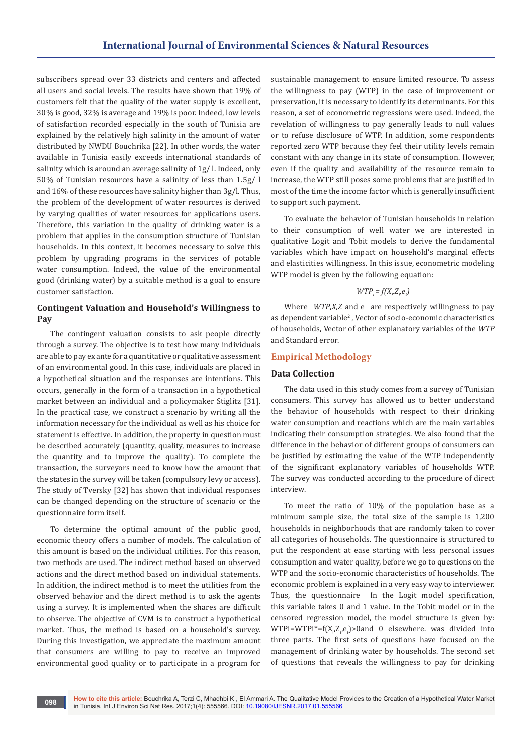subscribers spread over 33 districts and centers and affected all users and social levels. The results have shown that 19% of customers felt that the quality of the water supply is excellent, 30% is good, 32% is average and 19% is poor. Indeed, low levels of satisfaction recorded especially in the south of Tunisia are explained by the relatively high salinity in the amount of water distributed by NWDU Bouchrika [22]. In other words, the water available in Tunisia easily exceeds international standards of salinity which is around an average salinity of 1g/ l. Indeed, only 50% of Tunisian resources have a salinity of less than 1.5g/ l and 16% of these resources have salinity higher than 3g/l. Thus, the problem of the development of water resources is derived by varying qualities of water resources for applications users. Therefore, this variation in the quality of drinking water is a problem that applies in the consumption structure of Tunisian households. In this context, it becomes necessary to solve this problem by upgrading programs in the services of potable water consumption. Indeed, the value of the environmental good (drinking water) by a suitable method is a goal to ensure customer satisfaction.

# **Contingent Valuation and Household's Willingness to Pay**

The contingent valuation consists to ask people directly through a survey. The objective is to test how many individuals are able to pay ex ante for a quantitative or qualitative assessment of an environmental good. In this case, individuals are placed in a hypothetical situation and the responses are intentions. This occurs, generally in the form of a transaction in a hypothetical market between an individual and a policymaker Stiglitz [31]. In the practical case, we construct a scenario by writing all the information necessary for the individual as well as his choice for statement is effective. In addition, the property in question must be described accurately (quantity, quality, measures to increase the quantity and to improve the quality). To complete the transaction, the surveyors need to know how the amount that the states in the survey will be taken (compulsory levy or access). The study of Tversky [32] has shown that individual responses can be changed depending on the structure of scenario or the questionnaire form itself.

To determine the optimal amount of the public good, economic theory offers a number of models. The calculation of this amount is based on the individual utilities. For this reason, two methods are used. The indirect method based on observed actions and the direct method based on individual statements. In addition, the indirect method is to meet the utilities from the observed behavior and the direct method is to ask the agents using a survey. It is implemented when the shares are difficult to observe. The objective of CVM is to construct a hypothetical market. Thus, the method is based on a household's survey. During this investigation, we appreciate the maximum amount that consumers are willing to pay to receive an improved environmental good quality or to participate in a program for

sustainable management to ensure limited resource. To assess the willingness to pay (WTP) in the case of improvement or preservation, it is necessary to identify its determinants. For this reason, a set of econometric regressions were used. Indeed, the revelation of willingness to pay generally leads to null values or to refuse disclosure of WTP. In addition, some respondents reported zero WTP because they feel their utility levels remain constant with any change in its state of consumption. However, even if the quality and availability of the resource remain to increase, the WTP still poses some problems that are justified in most of the time the income factor which is generally insufficient to support such payment.

To evaluate the behavior of Tunisian households in relation to their consumption of well water we are interested in qualitative Logit and Tobit models to derive the fundamental variables which have impact on household's marginal effects and elasticities willingness. In this issue, econometric modeling WTP model is given by the following equation:

# $WTP_i = f(X_i, Z_i, e_i)$

Where *WTP*,*X,Z* and e are respectively willingness to pay as dependent variable<sup>2</sup>, Vector of socio-economic characteristics of households, Vector of other explanatory variables of the *WTP*  and Standard error.

# **Empirical Methodology**

## **Data Collection**

The data used in this study comes from a survey of Tunisian consumers. This survey has allowed us to better understand the behavior of households with respect to their drinking water consumption and reactions which are the main variables indicating their consumption strategies. We also found that the difference in the behavior of different groups of consumers can be justified by estimating the value of the WTP independently of the significant explanatory variables of households WTP. The survey was conducted according to the procedure of direct interview.

To meet the ratio of 10% of the population base as a minimum sample size, the total size of the sample is 1,200 households in neighborhoods that are randomly taken to cover all categories of households. The questionnaire is structured to put the respondent at ease starting with less personal issues consumption and water quality, before we go to questions on the WTP and the socio-economic characteristics of households. The economic problem is explained in a very easy way to interviewer. Thus, the questionnaire In the Logit model specification, this variable takes 0 and 1 value. In the Tobit model or in the censored regression model, the model structure is given by:  $WTPi=WTPi^*=f(X_i,Z_i,e_i)>0$ and 0 elsewhere. was divided into three parts. The first sets of questions have focused on the management of drinking water by households. The second set of questions that reveals the willingness to pay for drinking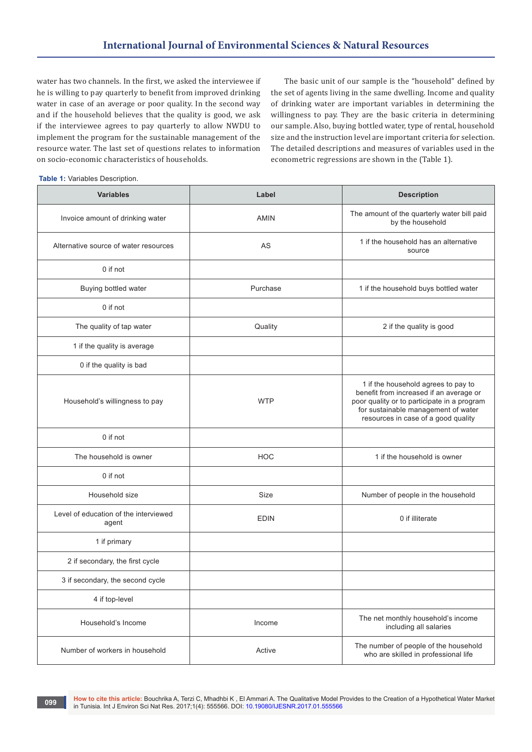water has two channels. In the first, we asked the interviewee if he is willing to pay quarterly to benefit from improved drinking water in case of an average or poor quality. In the second way and if the household believes that the quality is good, we ask if the interviewee agrees to pay quarterly to allow NWDU to implement the program for the sustainable management of the resource water. The last set of questions relates to information on socio-economic characteristics of households.

The basic unit of our sample is the "household" defined by the set of agents living in the same dwelling. Income and quality of drinking water are important variables in determining the willingness to pay. They are the basic criteria in determining our sample. Also, buying bottled water, type of rental, household size and the instruction level are important criteria for selection. The detailed descriptions and measures of variables used in the econometric regressions are shown in the (Table 1).

|  |  |  | <b>Table 1: Variables Description.</b> |
|--|--|--|----------------------------------------|
|--|--|--|----------------------------------------|

| <b>Variables</b>                               | Label       | <b>Description</b>                                                                                                                                                                                          |
|------------------------------------------------|-------------|-------------------------------------------------------------------------------------------------------------------------------------------------------------------------------------------------------------|
| Invoice amount of drinking water               | <b>AMIN</b> | The amount of the quarterly water bill paid<br>by the household                                                                                                                                             |
| Alternative source of water resources          | AS          | 1 if the household has an alternative<br>source                                                                                                                                                             |
| 0 if not                                       |             |                                                                                                                                                                                                             |
| Buying bottled water                           | Purchase    | 1 if the household buys bottled water                                                                                                                                                                       |
| 0 if not                                       |             |                                                                                                                                                                                                             |
| The quality of tap water                       | Quality     | 2 if the quality is good                                                                                                                                                                                    |
| 1 if the quality is average                    |             |                                                                                                                                                                                                             |
| 0 if the quality is bad                        |             |                                                                                                                                                                                                             |
| Household's willingness to pay                 | <b>WTP</b>  | 1 if the household agrees to pay to<br>benefit from increased if an average or<br>poor quality or to participate in a program<br>for sustainable management of water<br>resources in case of a good quality |
| 0 if not                                       |             |                                                                                                                                                                                                             |
| The household is owner                         | <b>HOC</b>  | 1 if the household is owner                                                                                                                                                                                 |
| 0 if not                                       |             |                                                                                                                                                                                                             |
| Household size                                 | Size        | Number of people in the household                                                                                                                                                                           |
| Level of education of the interviewed<br>agent | <b>EDIN</b> | 0 if illiterate                                                                                                                                                                                             |
| 1 if primary                                   |             |                                                                                                                                                                                                             |
| 2 if secondary, the first cycle                |             |                                                                                                                                                                                                             |
| 3 if secondary, the second cycle               |             |                                                                                                                                                                                                             |
| 4 if top-level                                 |             |                                                                                                                                                                                                             |
| Household's Income                             | Income      | The net monthly household's income<br>including all salaries                                                                                                                                                |
| Number of workers in household                 | Active      | The number of people of the household<br>who are skilled in professional life                                                                                                                               |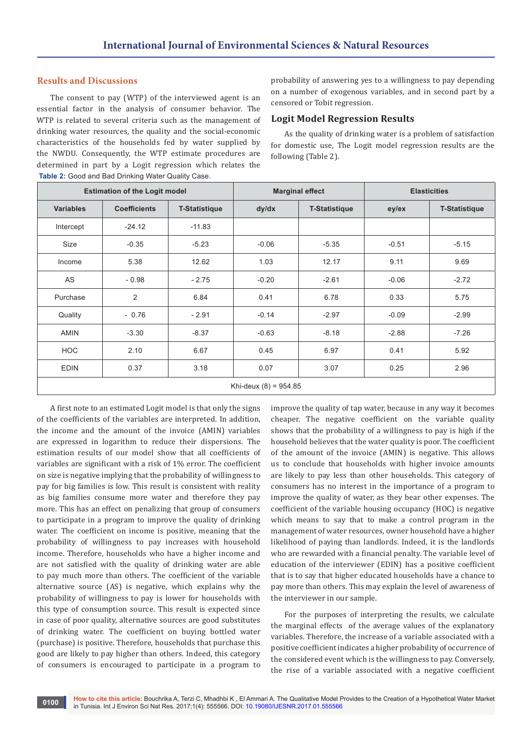## **Results and Discussions**

The consent to pay (WTP) of the interviewed agent is an essential factor in the analysis of consumer behavior. The WTP is related to several criteria such as the management of drinking water resources, the quality and the social-economic characteristics of the households fed by water supplied by the NWDU. Consequently, the WTP estimate procedures are determined in part by a Logit regression which relates the **Table 2:** Good and Bad Drinking Water Quality Case.

probability of answering yes to a willingness to pay depending on a number of exogenous variables, and in second part by a censored or Tobit regression.

## **Logit Model Regression Results**

As the quality of drinking water is a problem of satisfaction for domestic use, The Logit model regression results are the following (Table 2).

| <b>ROOM E.</b> Obod and Bad Brinning Watch Quality Odoo. |                     |                        |         |                      |         |                      |
|----------------------------------------------------------|---------------------|------------------------|---------|----------------------|---------|----------------------|
| <b>Estimation of the Logit model</b>                     |                     | <b>Marginal effect</b> |         | <b>Elasticities</b>  |         |                      |
| <b>Variables</b>                                         | <b>Coefficients</b> | <b>T-Statistique</b>   | dy/dx   | <b>T-Statistique</b> | ey/ex   | <b>T-Statistique</b> |
| Intercept                                                | $-24.12$            | $-11.83$               |         |                      |         |                      |
| Size                                                     | $-0.35$             | $-5.23$                | $-0.06$ | $-5.35$              | $-0.51$ | $-5.15$              |
| Income                                                   | 5.38                | 12.62                  | 1.03    | 12.17                | 9.11    | 9.69                 |
| AS                                                       | $-0.98$             | $-2.75$                | $-0.20$ | $-2.61$              | $-0.06$ | $-2.72$              |
| Purchase                                                 | 2                   | 6.84                   | 0.41    | 6.78                 | 0.33    | 5.75                 |
| Quality                                                  | $-0.76$             | $-2.91$                | $-0.14$ | $-2.97$              | $-0.09$ | $-2.99$              |
| <b>AMIN</b>                                              | $-3.30$             | $-8.37$                | $-0.63$ | $-8.18$              | $-2.88$ | $-7.26$              |
| <b>HOC</b>                                               | 2.10                | 6.67                   | 0.45    | 6.97                 | 0.41    | 5.92                 |
| <b>EDIN</b>                                              | 0.37                | 3.18                   | 0.07    | 3.07                 | 0.25    | 2.96                 |
| Khi-deux $(8) = 954.85$                                  |                     |                        |         |                      |         |                      |

A first note to an estimated Logit model is that only the signs of the coefficients of the variables are interpreted. In addition, the income and the amount of the invoice (AMIN) variables are expressed in logarithm to reduce their dispersions. The estimation results of our model show that all coefficients of variables are significant with a risk of 1% error. The coefficient on size is negative implying that the probability of willingness to pay for big families is low. This result is consistent with reality as big families consume more water and therefore they pay more. This has an effect on penalizing that group of consumers to participate in a program to improve the quality of drinking water. The coefficient on income is positive, meaning that the probability of willingness to pay increases with household income. Therefore, households who have a higher income and are not satisfied with the quality of drinking water are able to pay much more than others. The coefficient of the variable alternative source (AS) is negative, which explains why the probability of willingness to pay is lower for households with this type of consumption source. This result is expected since in case of poor quality, alternative sources are good substitutes of drinking water. The coefficient on buying bottled water (purchase) is positive. Therefore, households that purchase this good are likely to pay higher than others. Indeed, this category of consumers is encouraged to participate in a program to

improve the quality of tap water, because in any way it becomes cheaper. The negative coefficient on the variable quality shows that the probability of a willingness to pay is high if the household believes that the water quality is poor. The coefficient of the amount of the invoice (AMIN) is negative. This allows us to conclude that households with higher invoice amounts are likely to pay less than other households. This category of consumers has no interest in the importance of a program to improve the quality of water, as they bear other expenses. The coefficient of the variable housing occupancy (HOC) is negative which means to say that to make a control program in the management of water resources, owner household have a higher likelihood of paying than landlords. Indeed, it is the landlords who are rewarded with a financial penalty. The variable level of education of the interviewer (EDIN) has a positive coefficient that is to say that higher educated households have a chance to pay more than others. This may explain the level of awareness of the interviewer in our sample.

For the purposes of interpreting the results, we calculate the marginal effects of the average values of the explanatory variables. Therefore, the increase of a variable associated with a positive coefficient indicates a higher probability of occurrence of the considered event which is the willingness to pay. Conversely, the rise of a variable associated with a negative coefficient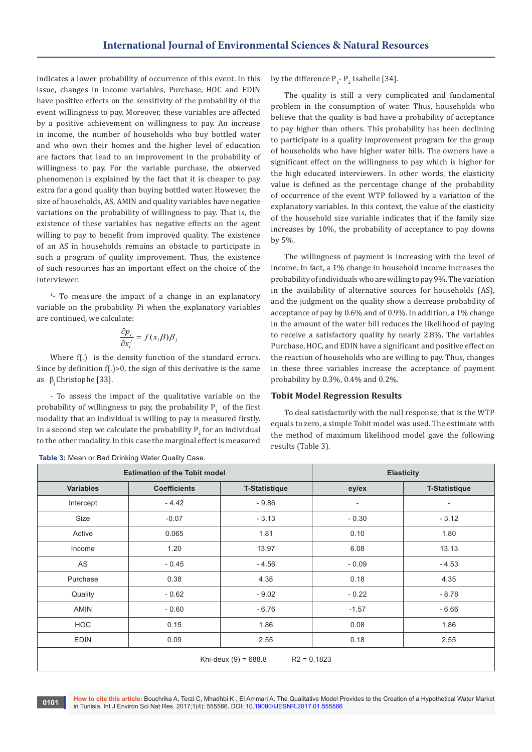indicates a lower probability of occurrence of this event. In this issue, changes in income variables, Purchase, HOC and EDIN have positive effects on the sensitivity of the probability of the event willingness to pay. Moreover, these variables are affected by a positive achievement on willingness to pay. An increase in income, the number of households who buy bottled water and who own their homes and the higher level of education are factors that lead to an improvement in the probability of willingness to pay. For the variable purchase, the observed phenomenon is explained by the fact that it is cheaper to pay extra for a good quality than buying bottled water. However, the size of households, AS, AMIN and quality variables have negative variations on the probability of willingness to pay. That is, the existence of these variables has negative effects on the agent willing to pay to benefit from improved quality. The existence of an AS in households remains an obstacle to participate in such a program of quality improvement. Thus, the existence of such resources has an important effect on the choice of the interviewer.

1 - To measure the impact of a change in an explanatory variable on the probability Pi when the explanatory variables are continued, we calculate:

$$
\frac{\partial p_i}{\partial x_i^j} = f(x_i \beta) \beta_j
$$

Where  $f(.)$  is the density function of the standard errors. Since by definition f(.)>0, the sign of this derivative is the same as  $\beta$ , Christophe [33].

- To assess the impact of the qualitative variable on the probability of willingness to pay, the probability  $P_1$  of the first modality that an individual is willing to pay is measured firstly. In a second step we calculate the probability  $\mathsf{P}_2$  for an individual to the other modality. In this case the marginal effect is measured

**Table 3:** Mean or Bad Drinking Water Quality Case.

by the difference  $P_1$ -  $P_2$  Isabelle [34].

The quality is still a very complicated and fundamental problem in the consumption of water. Thus, households who believe that the quality is bad have a probability of acceptance to pay higher than others. This probability has been declining to participate in a quality improvement program for the group of households who have higher water bills. The owners have a significant effect on the willingness to pay which is higher for the high educated interviewers. In other words, the elasticity value is defined as the percentage change of the probability of occurrence of the event WTP followed by a variation of the explanatory variables. In this context, the value of the elasticity of the household size variable indicates that if the family size increases by 10%, the probability of acceptance to pay downs by 5%.

The willingness of payment is increasing with the level of income. In fact, a 1% change in household income increases the probability of individuals who are willing to pay 9%. The variation in the availability of alternative sources for households (AS), and the judgment on the quality show a decrease probability of acceptance of pay by 0.6% and of 0.9%. In addition, a 1% change in the amount of the water bill reduces the likelihood of paying to receive a satisfactory quality by nearly 2.8%. The variables Purchase, HOC, and EDIN have a significant and positive effect on the reaction of households who are willing to pay. Thus, changes in these three variables increase the acceptance of payment probability by 0.3%, 0.4% and 0.2%.

#### **Tobit Model Regression Results**

To deal satisfactorily with the null response, that is the WTP equals to zero, a simple Tobit model was used. The estimate with the method of maximum likelihood model gave the following results (Table 3).

|                                         | <b>Estimation of the Tobit model</b> | <b>Elasticity</b>    |                          |                      |
|-----------------------------------------|--------------------------------------|----------------------|--------------------------|----------------------|
| <b>Variables</b>                        | <b>Coefficients</b>                  | <b>T-Statistique</b> | ey/ex                    | <b>T-Statistique</b> |
| Intercept                               | $-4.42$                              | $-9.86$              | $\overline{\phantom{a}}$ | ٠                    |
| Size                                    | $-0.07$                              | $-3.13$              | $-0.30$                  | $-3.12$              |
| Active                                  | 0.065                                | 1.81                 | 0.10                     | 1.80                 |
| Income                                  | 1.20                                 | 13.97                | 6.08                     | 13.13                |
| AS                                      | $-0.45$                              | $-4.56$              | $-0.09$                  | $-4.53$              |
| Purchase                                | 0.38                                 | 4.38                 | 0.18                     | 4.35                 |
| Quality                                 | $-0.62$                              | $-9.02$              | $-0.22$                  | $-8.78$              |
| <b>AMIN</b>                             | $-0.60$                              | $-6.76$              | $-1.57$                  | $-6.66$              |
| <b>HOC</b>                              | 0.15                                 | 1.86                 | 0.08                     | 1.86                 |
| <b>EDIN</b>                             | 0.09                                 | 2.55                 | 0.18                     | 2.55                 |
| Khi-deux $(9) = 688.8$<br>$R2 = 0.1823$ |                                      |                      |                          |                      |

**How to cite this article:** Bouchrika A, Terzi C, Mhadhbi K , El Ammari A. The Qualitative Model Provides to the Creation of a Hypothetical Water Market in Tunisia. Int J Environ Sci Nat Res. 2017;1(4): 555566. DOI: [10.19080/IJESNR.2017.01.555566](http://dx.doi.org/10.19080/IJESNR.2017.01.555566
) **<sup>0101</sup>**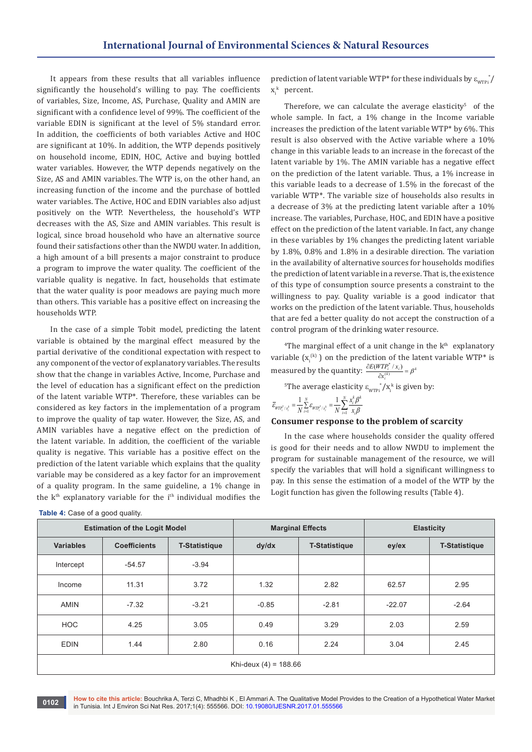It appears from these results that all variables influence significantly the household's willing to pay. The coefficients of variables, Size, Income, AS, Purchase, Quality and AMIN are significant with a confidence level of 99%. The coefficient of the variable EDIN is significant at the level of 5% standard error. In addition, the coefficients of both variables Active and HOC are significant at 10%. In addition, the WTP depends positively on household income, EDIN, HOC, Active and buying bottled water variables. However, the WTP depends negatively on the Size, AS and AMIN variables. The WTP is, on the other hand, an increasing function of the income and the purchase of bottled water variables. The Active, HOC and EDIN variables also adjust positively on the WTP. Nevertheless, the household's WTP decreases with the AS, Size and AMIN variables. This result is logical, since broad household who have an alternative source found their satisfactions other than the NWDU water. In addition, a high amount of a bill presents a major constraint to produce a program to improve the water quality. The coefficient of the variable quality is negative. In fact, households that estimate that the water quality is poor meadows are paying much more than others. This variable has a positive effect on increasing the households WTP.

In the case of a simple Tobit model, predicting the latent variable is obtained by the marginal effect measured by the partial derivative of the conditional expectation with respect to any component of the vector of explanatory variables. The results show that the change in variables Active, Income, Purchase and the level of education has a significant effect on the prediction of the latent variable WTP\*. Therefore, these variables can be considered as key factors in the implementation of a program to improve the quality of tap water. However, the Size, AS, and AMIN variables have a negative effect on the prediction of the latent variable. In addition, the coefficient of the variable quality is negative. This variable has a positive effect on the prediction of the latent variable which explains that the quality variable may be considered as a key factor for an improvement of a quality program. In the same guideline, a 1% change in the  $k<sup>th</sup>$  explanatory variable for the  $i<sup>th</sup>$  individual modifies the

| <b>Table 4:</b> Case of a good quality. |
|-----------------------------------------|
|-----------------------------------------|

prediction of latent variable WTP\* for these individuals by  $\varepsilon_{_{\rm WTPi}}^{\rm \; *}/$  $x_i^k$  percent.

Therefore, we can calculate the average elasticity $5$  of the whole sample. In fact, a 1% change in the Income variable increases the prediction of the latent variable WTP\* by 6%. This result is also observed with the Active variable where a 10% change in this variable leads to an increase in the forecast of the latent variable by 1%. The AMIN variable has a negative effect on the prediction of the latent variable. Thus, a 1% increase in this variable leads to a decrease of 1.5% in the forecast of the variable WTP\*. The variable size of households also results in a decrease of 3% at the predicting latent variable after a 10% increase. The variables, Purchase, HOC, and EDIN have a positive effect on the prediction of the latent variable. In fact, any change in these variables by 1% changes the predicting latent variable by 1.8%, 0.8% and 1.8% in a desirable direction. The variation in the availability of alternative sources for households modifies the prediction of latent variable in a reverse. That is, the existence of this type of consumption source presents a constraint to the willingness to pay. Quality variable is a good indicator that works on the prediction of the latent variable. Thus, households that are fed a better quality do not accept the construction of a control program of the drinking water resource.

<sup>4</sup>The marginal effect of a unit change in the  $k<sup>th</sup>$  explanatory variable  $(x_i^{(k)})$  on the prediction of the latent variable WTP\* is measured by the quantity:  $\frac{dE(WH_i \mid x_i)}{dx_i^{(k)}} = \beta^k$  $\frac{\partial E(WTP_i^* / x_i)}{\partial x_i^{(k)}} = \beta$ 

<sup>5</sup>The average elasticity  $\varepsilon_{\text{wTPi}}^* / x_i^k$  is given by:

$$
\bar{\varepsilon}_{\text{WTP}_i^* / x_i^k} = \frac{1}{N} \sum_{i=1}^N \varepsilon_{\text{WTP}_i^* / x_i^k} = \frac{1}{N} \sum_{i=1}^N \frac{x_i^k \beta^k}{x_i \beta}
$$

#### **Consumer response to the problem of scarcity**

In the case where households consider the quality offered is good for their needs and to allow NWDU to implement the program for sustainable management of the resource, we will specify the variables that will hold a significant willingness to pay. In this sense the estimation of a model of the WTP by the Logit function has given the following results (Table 4).

| <b>Estimation of the Logit Model</b> |                     | <b>Marginal Effects</b> |         | <b>Elasticity</b>    |          |                      |
|--------------------------------------|---------------------|-------------------------|---------|----------------------|----------|----------------------|
| <b>Variables</b>                     | <b>Coefficients</b> | <b>T-Statistique</b>    | dy/dx   | <b>T-Statistique</b> | ey/ex    | <b>T-Statistique</b> |
| Intercept                            | $-54.57$            | $-3.94$                 |         |                      |          |                      |
| Income                               | 11.31               | 3.72                    | 1.32    | 2.82                 | 62.57    | 2.95                 |
| <b>AMIN</b>                          | $-7.32$             | $-3.21$                 | $-0.85$ | $-2.81$              | $-22.07$ | $-2.64$              |
| <b>HOC</b>                           | 4.25                | 3.05                    | 0.49    | 3.29                 | 2.03     | 2.59                 |
| <b>EDIN</b>                          | 1.44                | 2.80                    | 0.16    | 2.24                 | 3.04     | 2.45                 |
| Khi-deux $(4) = 188.66$              |                     |                         |         |                      |          |                      |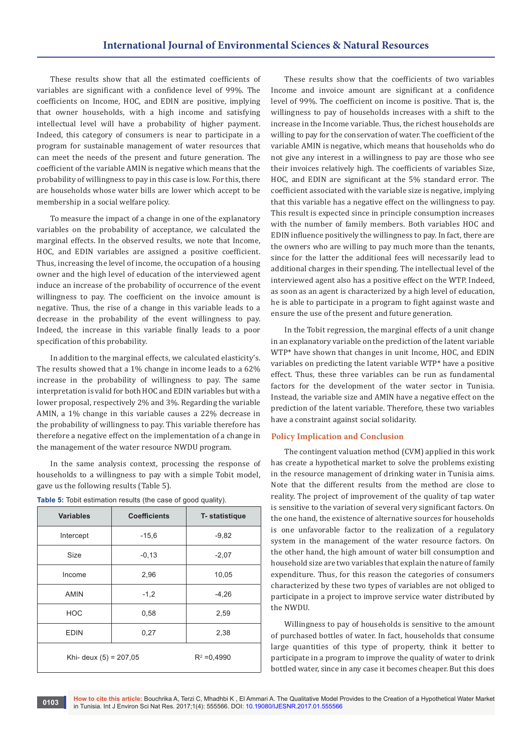These results show that all the estimated coefficients of variables are significant with a confidence level of 99%. The coefficients on Income, HOC, and EDIN are positive, implying that owner households, with a high income and satisfying intellectual level will have a probability of higher payment. Indeed, this category of consumers is near to participate in a program for sustainable management of water resources that can meet the needs of the present and future generation. The coefficient of the variable AMIN is negative which means that the probability of willingness to pay in this case is low. For this, there are households whose water bills are lower which accept to be membership in a social welfare policy.

To measure the impact of a change in one of the explanatory variables on the probability of acceptance, we calculated the marginal effects. In the observed results, we note that Income, HOC, and EDIN variables are assigned a positive coefficient. Thus, increasing the level of income, the occupation of a housing owner and the high level of education of the interviewed agent induce an increase of the probability of occurrence of the event willingness to pay. The coefficient on the invoice amount is negative. Thus, the rise of a change in this variable leads to a decrease in the probability of the event willingness to pay. Indeed, the increase in this variable finally leads to a poor specification of this probability.

In addition to the marginal effects, we calculated elasticity's. The results showed that a 1% change in income leads to a 62% increase in the probability of willingness to pay. The same interpretation is valid for both HOC and EDIN variables but with a lower proposal, respectively 2% and 3%. Regarding the variable AMIN, a 1% change in this variable causes a 22% decrease in the probability of willingness to pay. This variable therefore has therefore a negative effect on the implementation of a change in the management of the water resource NWDU program.

In the same analysis context, processing the response of households to a willingness to pay with a simple Tobit model, gave us the following results (Table 5).

| <b>Variables</b>       | <b>Coefficients</b> | T- statistique |
|------------------------|---------------------|----------------|
| Intercept              | $-15,6$             | $-9,82$        |
| Size                   | $-0,13$             | $-2,07$        |
| Income                 | 2,96                | 10,05          |
| <b>AMIN</b>            | $-1,2$              | $-4,26$        |
| <b>HOC</b>             | 0,58                | 2,59           |
| <b>EDIN</b>            | 0,27                | 2,38           |
| Khi- deux (5) = 207,05 | $R^2 = 0.4990$      |                |

These results show that the coefficients of two variables Income and invoice amount are significant at a confidence level of 99%. The coefficient on income is positive. That is, the willingness to pay of households increases with a shift to the increase in the Income variable. Thus, the richest households are willing to pay for the conservation of water. The coefficient of the variable AMIN is negative, which means that households who do not give any interest in a willingness to pay are those who see their invoices relatively high. The coefficients of variables Size, HOC, and EDIN are significant at the 5% standard error. The coefficient associated with the variable size is negative, implying that this variable has a negative effect on the willingness to pay. This result is expected since in principle consumption increases with the number of family members. Both variables HOC and EDIN influence positively the willingness to pay. In fact, there are the owners who are willing to pay much more than the tenants, since for the latter the additional fees will necessarily lead to additional charges in their spending. The intellectual level of the interviewed agent also has a positive effect on the WTP. Indeed, as soon as an agent is characterized by a high level of education, he is able to participate in a program to fight against waste and ensure the use of the present and future generation.

In the Tobit regression, the marginal effects of a unit change in an explanatory variable on the prediction of the latent variable WTP\* have shown that changes in unit Income, HOC, and EDIN variables on predicting the latent variable WTP\* have a positive effect. Thus, these three variables can be run as fundamental factors for the development of the water sector in Tunisia. Instead, the variable size and AMIN have a negative effect on the prediction of the latent variable. Therefore, these two variables have a constraint against social solidarity.

#### **Policy Implication and Conclusion**

The contingent valuation method (CVM) applied in this work has create a hypothetical market to solve the problems existing in the resource management of drinking water in Tunisia aims. Note that the different results from the method are close to reality. The project of improvement of the quality of tap water is sensitive to the variation of several very significant factors. On the one hand, the existence of alternative sources for households is one unfavorable factor to the realization of a regulatory system in the management of the water resource factors. On the other hand, the high amount of water bill consumption and household size are two variables that explain the nature of family expenditure. Thus, for this reason the categories of consumers characterized by these two types of variables are not obliged to participate in a project to improve service water distributed by the NWDU.

Willingness to pay of households is sensitive to the amount of purchased bottles of water. In fact, households that consume large quantities of this type of property, think it better to participate in a program to improve the quality of water to drink bottled water, since in any case it becomes cheaper. But this does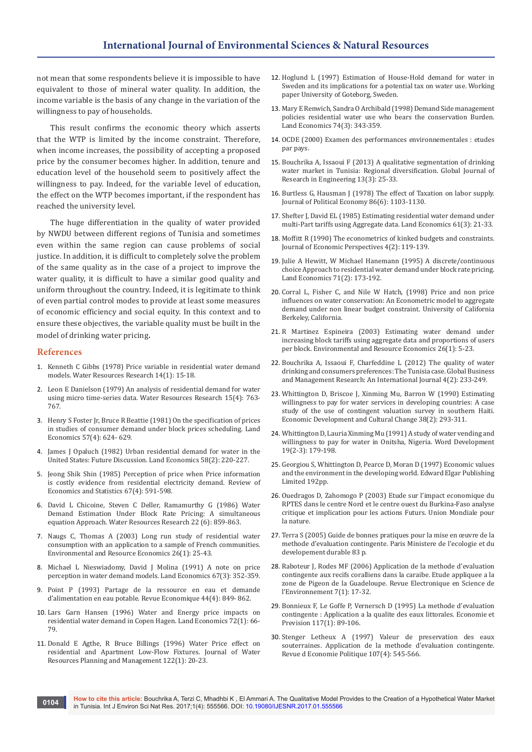not mean that some respondents believe it is impossible to have equivalent to those of mineral water quality. In addition, the income variable is the basis of any change in the variation of the willingness to pay of households.

This result confirms the economic theory which asserts that the WTP is limited by the income constraint. Therefore, when income increases, the possibility of accepting a proposed price by the consumer becomes higher. In addition, tenure and education level of the household seem to positively affect the willingness to pay. Indeed, for the variable level of education, the effect on the WTP becomes important, if the respondent has reached the university level.

The huge differentiation in the quality of water provided by NWDU between different regions of Tunisia and sometimes even within the same region can cause problems of social justice. In addition, it is difficult to completely solve the problem of the same quality as in the case of a project to improve the water quality, it is difficult to have a similar good quality and uniform throughout the country. Indeed, it is legitimate to think of even partial control modes to provide at least some measures of economic efficiency and social equity. In this context and to ensure these objectives, the variable quality must be built in the model of drinking water pricing.

#### **References**

- 1. [Kenneth C Gibbs \(1978\) Price variable in residential water demand](http://onlinelibrary.wiley.com/doi/10.1029/WR014i001p00015/full)  [models. Water Resources Research 14\(1\): 15-18.](http://onlinelibrary.wiley.com/doi/10.1029/WR014i001p00015/full)
- 2. [Leon E Danielson \(1979\) An analysis of residential demand for water](http://onlinelibrary.wiley.com/doi/10.1029/WR015i004p00763/abstract)  [using micro time-series data. Water Resources Research 15\(4\): 763-](http://onlinelibrary.wiley.com/doi/10.1029/WR015i004p00763/abstract) [767.](http://onlinelibrary.wiley.com/doi/10.1029/WR015i004p00763/abstract)
- 3. Henry S Foster Jr, Bruce R Beattie (1981) On the specification of prices in studies of consumer demand under block prices scheduling. Land Economics 57(4): 624- 629.
- 4. James J Opaluch (1982) Urban residential demand for water in the United States: Future Discussion. Land Economics 58(2): 220-227.
- 5. Jeong Shik Shin (1985) Perception of price when Price information is costly evidence from residential electricity demand. Review of Economics and Statistics 67(4): 591-598.
- 6. [David L Chicoine, Steven C Deller, Ramamurthy G \(1986\) Water](http://onlinelibrary.wiley.com/doi/10.1029/WR022i006p00859/full)  [Demand Estimation Under Block Rate Pricing: A simultaneous](http://onlinelibrary.wiley.com/doi/10.1029/WR022i006p00859/full)  [equation Approach. Water Resources Research 22 \(6\): 859-863.](http://onlinelibrary.wiley.com/doi/10.1029/WR022i006p00859/full)
- 7. [Naugs C, Thomas A \(2003\) Long run study of residential water](https://www.researchgate.net/publication/5146624_Long-Run_Study_of_Residential_Water_Consumption)  [consumption with an application to a sample of French communities.](https://www.researchgate.net/publication/5146624_Long-Run_Study_of_Residential_Water_Consumption)  [Environmental and Resource Economics 26\(1\): 25-43.](https://www.researchgate.net/publication/5146624_Long-Run_Study_of_Residential_Water_Consumption)
- 8. Michael L Nieswiadomy, David J Molina (1991) A note on price perception in water demand models. Land Economics 67(3): 352-359.
- 9. Point P (1993) Partage de la ressource en eau et demande d'alimentation en eau potable. Revue Economique 44(4): 849- 862.
- 10. Lars Garn Hansen (1996) Water and Energy price impacts on residential water demand in Copen Hagen. Land Economics 72(1): 66- 79.
- 11. [Donald E Agthe, R Bruce Billings \(1996\) Water Price effect on](http://ascelibrary.org/doi/abs/10.1061/(ASCE)0733-9496(1996)122:1(20))  [residential and Apartment Low-Flow Fixtures. Journal of Water](http://ascelibrary.org/doi/abs/10.1061/(ASCE)0733-9496(1996)122:1(20))  [Resources Planning and Management 122\(1\): 20-23.](http://ascelibrary.org/doi/abs/10.1061/(ASCE)0733-9496(1996)122:1(20))
- 12. Hoglund L (1997) Estimation of House-Hold demand for water in Sweden and its implications for a potential tax on water use. Working paper University of Goteborg, Sweden.
- 13. Mary E Renwich, Sandra O Archibald (1998) Demand Side management policies residential water use [w](https://www.oecd.org/fr/examenparlespairs/examensdesperformancesenvironnementales.htm)ho bears the conservation Burden. Land Economics 74(3): 343-359.
- 14. [OCDE \(2000\) Examen des performances environnementales](https://www.oecd.org/fr/examenparlespairs/examensdesperformancesenvironnementales.htm) : etudes [par pays.](https://www.oecd.org/fr/examenparlespairs/examensdesperformancesenvironnementales.htm)
- 15. [Bouchrika A, Issaoui F \(2013\) A qualitative segmentation of drinking](https://globaljournals.org/GJRE_Volume13/4-A-Qualitative-Segmentation-of-Drinking.pdf)  [water market in Tunisia: Regional diversification. Global Journal of](https://globaljournals.org/GJRE_Volume13/4-A-Qualitative-Segmentation-of-Drinking.pdf)  [Research in Engineering 13\(3\): 25-33.](https://globaljournals.org/GJRE_Volume13/4-A-Qualitative-Segmentation-of-Drinking.pdf)
- 16. Burtless G, Hausman J (1978) The effect of Taxation on labor supply. Journal of Political Economy 86(6): 1103-1130.
- 17. Shefter J, David EL (1985) Estimating residential water demand under multi-Part tariffs using Aggregate data. Land Economics 61(3): 21-33.
- 18. Moffitt R (1990) The econometrics of kinked budgets and constraints. Journal of Economic Perspectives 4(2): 119-139.
- 19. Julie A Hewitt, W Michael Hanemann (1995) A discrete/continuous choice Approach to residential water demand under block rate pricing. Land Economics 71(2): 173-192.
- 20. [Corral L, Fisher C, and Nile W Hatch, \(1998\) Price and non price](http://ageconsearch.umn.edu/bitstream/7155/2/wp990881.pdf)  [influences on water conservation: An Econometric model to aggregate](http://ageconsearch.umn.edu/bitstream/7155/2/wp990881.pdf)  [demand under non linear budget constraint. University of California](http://ageconsearch.umn.edu/bitstream/7155/2/wp990881.pdf)  [Berkeley, California.](http://ageconsearch.umn.edu/bitstream/7155/2/wp990881.pdf)
- 21. [R Martinez Espineira \(2003\) Estimating water demand under](http://link.springer.com/article/10.1023/A:1025693823235)  [increasing block tariffs using aggregate data and proportions of users](http://link.springer.com/article/10.1023/A:1025693823235)  [per block. Environmental and Resource Economics 26\(1\): 5-23.](http://link.springer.com/article/10.1023/A:1025693823235)
- 22. [Bouchrika A, Issaoui F, Charfeddine L \(2012\) The quality of water](https://repository.nu.edu.sa/jspui/bitstream/123456789/406/1/The%20Quality%20of%20water%20drinking%20and%20consumers%20preferences.pdf)  [drinking and consumers preferences: The Tunisia case. Global Business](https://repository.nu.edu.sa/jspui/bitstream/123456789/406/1/The%20Quality%20of%20water%20drinking%20and%20consumers%20preferences.pdf)  [and Management Research: An International Journal 4\(2\): 233-249.](https://repository.nu.edu.sa/jspui/bitstream/123456789/406/1/The%20Quality%20of%20water%20drinking%20and%20consumers%20preferences.pdf)
- 23. Whittington D, Briscoe J, Xinming Mu, Barron W (1990) Estimating willingness to pay for water services in developing countries: A case study of the use of contingent valuation survey in southern Haiti. Economic Development and Cultural Change 38(2): 293-311.
- 24. [Whittington D, Lauria Xinming Mu \(1991\) A study of water vending and](http://www.sciencedirect.com/science/article/pii/0305750X9190254F)  [willingness to pay for water in Onitsha, Nigeria. Word Development](http://www.sciencedirect.com/science/article/pii/0305750X9190254F)  [19\(2-3\): 179-198.](http://www.sciencedirect.com/science/article/pii/0305750X9190254F)
- 25. [Georgiou S, Whittington D, Pearce D, Moran D \(1997\) Economic values](http://www.e-elgar.com/shop/economic-values-and-the-environment-in-the-developing-world)  [and the environment in the developing world. Edward Elgar Publishing](http://www.e-elgar.com/shop/economic-values-and-the-environment-in-the-developing-world)  [Limited 192pp.](http://www.e-elgar.com/shop/economic-values-and-the-environment-in-the-developing-world)
- 26. Ouedragos D, Zahomogo P (2003) Etude sur l'impact economique du RPTES dans le centre Nord et le centre ouest du Burkina-Faso analyse critique et implication pour les actions Futurs. Union Mondiale pour la nature.
- 27. [Terra S \(2005\) Guide de bonnes pratiques pour la mise en œuvre de la](http://iwlearn.net/abt_iwlearn/events/workshops/ouagadougou/readingfiles/france-methode-contingente.pdf)  [methode d'evaluation contingente. Paris](http://iwlearn.net/abt_iwlearn/events/workshops/ouagadougou/readingfiles/france-methode-contingente.pdf) Ministere de l'ecologie et du [developement durable 83 p.](http://iwlearn.net/abt_iwlearn/events/workshops/ouagadougou/readingfiles/france-methode-contingente.pdf)
- 28. [Raboteur J, Rodes MF \(2006\) Application de la methode d'evaluation](https://vertigo.revues.org/2167?lang=en)  [contingente aux recifs coralliens dans la caraibe. Etude appliquee a la](https://vertigo.revues.org/2167?lang=en)  [zone de Pigeon de la Guadeloupe. Revue Electronique en Science de](https://vertigo.revues.org/2167?lang=en)  [l'Environnement 7\(1\): 17-32.](https://vertigo.revues.org/2167?lang=en)
- 29. [Bonnieux F, Le Goffe P, Vernersch D \(1995\) La methode d'evaluation](http://www.persee.fr/doc/ecop_0249-4744_1995_num_117_1_5716)  contingente [: Application a la qualite des eaux littorales. Economie et](http://www.persee.fr/doc/ecop_0249-4744_1995_num_117_1_5716)  [Prevision 117\(1\): 89-106.](http://www.persee.fr/doc/ecop_0249-4744_1995_num_117_1_5716)
- 30. [Stenger Letheux A \(1997\) Valeur de preservation des eaux](https://hal.archives-ouvertes.fr/hal-01072607/)  [souterraines. Application de la methode d'evaluation contingente.](https://hal.archives-ouvertes.fr/hal-01072607/)  [Revue d Economie Politique 107\(4\): 545-566.](https://hal.archives-ouvertes.fr/hal-01072607/)